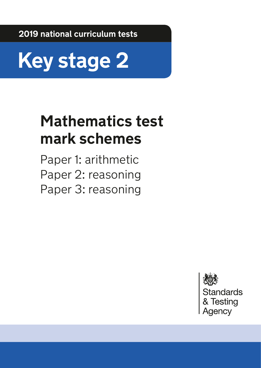**2019 national curriculum tests**



# **Mathematics test mark schemes**

Paper 1: arithmetic Paper 2: reasoning Paper 3: reasoning

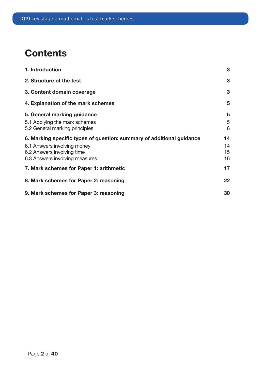## **Contents**

| 1. Introduction                                                       | 3  |
|-----------------------------------------------------------------------|----|
| 2. Structure of the test                                              | 3  |
| 3. Content domain coverage                                            | 3  |
| 4. Explanation of the mark schemes                                    | 5  |
| 5. General marking guidance                                           | 5  |
| 5.1 Applying the mark schemes                                         | 5  |
| 5.2 General marking principles                                        | 6  |
| 6. Marking specific types of question: summary of additional guidance | 14 |
| 6.1 Answers involving money                                           | 14 |
| 6.2 Answers involving time                                            | 15 |
| 6.3 Answers involving measures                                        | 16 |
| 7. Mark schemes for Paper 1: arithmetic                               | 17 |
| 8. Mark schemes for Paper 2: reasoning                                | 22 |
| 9. Mark schemes for Paper 3: reasoning                                | 30 |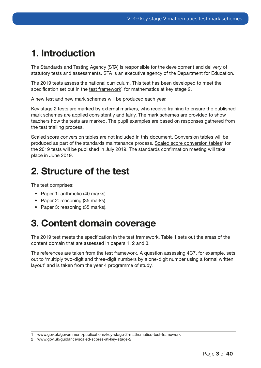## <span id="page-2-0"></span>1. Introduction

The Standards and Testing Agency (STA) is responsible for the development and delivery of statutory tests and assessments. STA is an executive agency of the Department for Education.

The 2019 tests assess the national curriculum. This test has been developed to meet the specification set out in the test framework<sup>1</sup> for mathematics at key stage 2.

A new test and new mark schemes will be produced each year.

Key stage 2 tests are marked by external markers, who receive training to ensure the published mark schemes are applied consistently and fairly. The mark schemes are provided to show teachers how the tests are marked. The pupil examples are based on responses gathered from the test trialling process.

Scaled score conversion tables are not included in this document. Conversion tables will be produced as part of the standards maintenance process. [Scaled score conversion tables](http://www.gov.uk/guidance/scaled-scores-at-key-stage-2)<sup>2</sup> for the 2019 tests will be published in July 2019. The standards confrmation meeting will take place in June 2019.

### 2. Structure of the test

The test comprises:

- Paper 1: arithmetic (40 marks)
- Paper 2: reasoning (35 marks)
- Paper 3: reasoning (35 marks).

## 3. Content domain coverage

The 2019 test meets the specification in the test framework. Table 1 sets out the areas of the content domain that are assessed in papers 1, 2 and 3.

The references are taken from the test framework. A question assessing 4C7, for example, sets out to 'multiply two-digit and three-digit numbers by a one-digit number using a formal written layout' and is taken from the year 4 programme of study.

<sup>1</sup> [www.gov.uk/government/publications/key-stage-2-mathematics-test-framework](http://www.gov.uk/government/publications/key-stage-2-mathematics-test-framework)

<sup>2</sup> www.gov.uk/guidance/scaled-scores-at-key-stage-2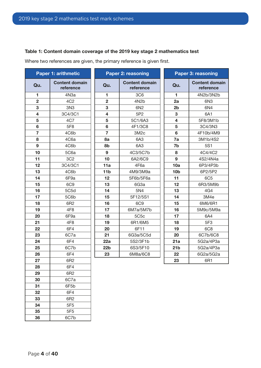#### Table 1: Content domain coverage of the 2019 key stage 2 mathematics test

Where two references are given, the primary reference is given first.

|                         | <b>Paper 1: arithmetic</b>         |                         | <b>Paper 2: reasoning</b>          |                         | <b>Paper 3: reasoning</b>          |
|-------------------------|------------------------------------|-------------------------|------------------------------------|-------------------------|------------------------------------|
| Qu.                     | <b>Content domain</b><br>reference | Qu.                     | <b>Content domain</b><br>reference | Qu.                     | <b>Content domain</b><br>reference |
| 1                       | 4N <sub>3a</sub>                   | 1                       | 3C <sub>6</sub>                    | 1                       | 4N2b/3N2b                          |
| $\overline{2}$          | 4C <sub>2</sub>                    | $\overline{2}$          | 4N <sub>2</sub> b                  | 2a                      | 6N <sub>3</sub>                    |
| 3                       | 3N3                                | 3                       | 6N2                                | 2 <sub>b</sub>          | 6N4                                |
| $\overline{\mathbf{4}}$ | 3C4/3C1                            | $\overline{\mathbf{4}}$ | 5P2                                | 3                       | 6A1                                |
| 5                       | 4C7                                | 5                       | 5C1/6A3                            | $\overline{\mathbf{4}}$ | 5F8/3M1b                           |
| 6                       | 5F8                                | $6\phantom{1}$          | 4F1/3C8                            | 5                       | 3C4/3N3                            |
| 7                       | 4C6b                               | $\overline{7}$          | 3M <sub>2c</sub>                   | $6\phantom{a}$          | 4F10b/4M9                          |
| 8                       | 4C6a                               | 8a                      | 6A3                                | 7a                      | 3M1b/4S2                           |
| 9                       | 4C6b                               | 8b                      | 6A3                                | 7b                      | 5S1                                |
| 10                      | 5C6a                               | 9                       | 4C3/5C7b                           | 8                       | 4C4/4C2                            |
| 11                      | 3C <sub>2</sub>                    | 10                      | 6A2/6C9                            | 9                       | 4S2/4N4a                           |
| 12                      | 3C4/3C1                            | 11a                     | 4F6a                               | 10a                     | 6P3/4P3b                           |
| 13                      | 4C6b                               | 11 <sub>b</sub>         | 4M9/3M9a                           | 10 <sub>b</sub>         | 6P2/5P2                            |
| 14                      | 6F9a                               | 12                      | 5F6b/5F6a                          | 11                      | <b>6C5</b>                         |
| 15                      | 6C <sub>9</sub>                    | 13                      | 6G3a                               | 12                      | 6R3/5M9b                           |
| 16                      | 5C5d                               | 14                      | 5N4                                | 13                      | 4G4                                |
| 17                      | 5C6b                               | 15                      | 5F12/5S1                           | 14                      | 3M4e                               |
| 18                      | 6R2                                | 16                      | <b>6C9</b>                         | 15                      | 6M6/6R1                            |
| 19                      | 4F <sub>8</sub>                    | 17                      | 6M7a/5M7b                          | 16                      | 5M9c/5M9a                          |
| 20                      | 6F9a                               | 18                      | 5C <sub>5</sub> c                  | 17                      | 6A4                                |
| 21                      | 4F <sub>8</sub>                    | 19                      | 6R1/6M5                            | 18                      | 5F3                                |
| 22                      | 6F4                                | 20                      | 6F11                               | 19                      | 6C <sub>8</sub>                    |
| 23                      | 6C7a                               | 21                      | 6G3a/5C5d                          | 20                      | 6C7b/6C8                           |
| 24                      | 6F4                                | 22a                     | 5S2/3F1b                           | 21a                     | 5G2a/4P3a                          |
| 25                      | 6C7b                               | 22 <sub>b</sub>         | 6S3/5F10                           | 21 <sub>b</sub>         | 5G2a/4P3a                          |
| 26                      | 6F4                                | 23                      | 6M8a/6C8                           | 22                      | 6G2a/5G2a                          |
| 27                      | 6R2                                |                         |                                    | 23                      | 6R1                                |
| 28                      | 6F4                                |                         |                                    |                         |                                    |
| 29                      | 6R2                                |                         |                                    |                         |                                    |
| 30                      | 6C7a                               |                         |                                    |                         |                                    |
| 31                      | 6F5b                               |                         |                                    |                         |                                    |

 6F4 6R2 5F5 35 5F5 6C7b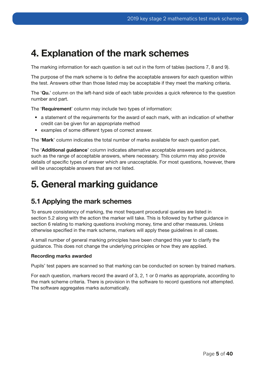### <span id="page-4-0"></span>4. Explanation of the mark schemes

The marking information for each question is set out in the form of tables (sections 7, 8 and 9).

The purpose of the mark scheme is to defne the acceptable answers for each question within the test. Answers other than those listed may be acceptable if they meet the marking criteria.

The 'Qu.' column on the left-hand side of each table provides a quick reference to the question number and part.

The 'Requirement' column may include two types of information:

- a statement of the requirements for the award of each mark, with an indication of whether credit can be given for an appropriate method
- examples of some different types of correct answer.

The 'Mark' column indicates the total number of marks available for each question part.

The 'Additional guidance' column indicates alternative acceptable answers and guidance, such as the range of acceptable answers, where necessary. This column may also provide details of specific types of answer which are unacceptable. For most questions, however, there will be unacceptable answers that are not listed.

## 5. General marking guidance

#### 5.1 Applying the mark schemes

To ensure consistency of marking, the most frequent procedural queries are listed in section 5.2 along with the action the marker will take. This is followed by further guidance in section 6 relating to marking questions involving money, time and other measures. Unless otherwise specifed in the mark scheme, markers will apply these guidelines in all cases.

A small number of general marking principles have been changed this year to clarify the guidance. This does not change the underlying principles or how they are applied.

#### Recording marks awarded

Pupils' test papers are scanned so that marking can be conducted on screen by trained markers.

For each question, markers record the award of 3, 2, 1 or 0 marks as appropriate, according to the mark scheme criteria. There is provision in the software to record questions not attempted. The software aggregates marks automatically.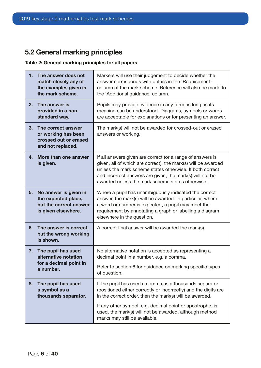### <span id="page-5-0"></span>5.2 General marking principles

 $\mathbf{r}$ 

#### Table 2: General marking principles for all papers

| 1.<br>The answer does not<br>match closely any of<br>the examples given in<br>the mark scheme.      | Markers will use their judgement to decide whether the<br>answer corresponds with details in the 'Requirement'<br>column of the mark scheme. Reference will also be made to<br>the 'Additional guidance' column.                                                                                        |  |
|-----------------------------------------------------------------------------------------------------|---------------------------------------------------------------------------------------------------------------------------------------------------------------------------------------------------------------------------------------------------------------------------------------------------------|--|
| 2.<br>The answer is<br>provided in a non-<br>standard way.                                          | Pupils may provide evidence in any form as long as its<br>meaning can be understood. Diagrams, symbols or words<br>are acceptable for explanations or for presenting an answer.                                                                                                                         |  |
| 3.<br>The correct answer<br>or working has been<br>crossed out or erased<br>and not replaced.       | The mark(s) will not be awarded for crossed-out or erased<br>answers or working.                                                                                                                                                                                                                        |  |
| More than one answer<br>4.<br>is given.                                                             | If all answers given are correct (or a range of answers is<br>given, all of which are correct), the mark(s) will be awarded<br>unless the mark scheme states otherwise. If both correct<br>and incorrect answers are given, the mark(s) will not be<br>awarded unless the mark scheme states otherwise. |  |
| No answer is given in<br>5.<br>the expected place,<br>but the correct answer<br>is given elsewhere. | Where a pupil has unambiguously indicated the correct<br>answer, the mark(s) will be awarded. In particular, where<br>a word or number is expected, a pupil may meet the<br>requirement by annotating a graph or labelling a diagram<br>elsewhere in the question.                                      |  |
| 6.<br>The answer is correct,<br>but the wrong working<br>is shown.                                  | A correct final answer will be awarded the mark(s).                                                                                                                                                                                                                                                     |  |
| The pupil has used<br>7.<br>alternative notation                                                    | No alternative notation is accepted as representing a<br>decimal point in a number, e.g. a comma.                                                                                                                                                                                                       |  |
| for a decimal point in<br>a number.                                                                 | Refer to section 6 for guidance on marking specific types<br>of question.                                                                                                                                                                                                                               |  |
| 8.<br>The pupil has used<br>a symbol as a<br>thousands separator.                                   | If the pupil has used a comma as a thousands separator<br>(positioned either correctly or incorrectly) and the digits are<br>in the correct order, then the mark(s) will be awarded.                                                                                                                    |  |
|                                                                                                     | If any other symbol, e.g. decimal point or apostrophe, is<br>used, the mark(s) will not be awarded, although method<br>marks may still be available.                                                                                                                                                    |  |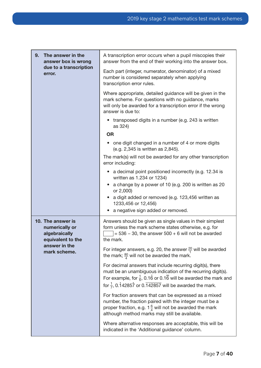| 9.<br>The answer in the<br>answer box is wrong                            | A transcription error occurs when a pupil miscopies their<br>answer from the end of their working into the answer box.                                                                                                                                                         |  |
|---------------------------------------------------------------------------|--------------------------------------------------------------------------------------------------------------------------------------------------------------------------------------------------------------------------------------------------------------------------------|--|
| due to a transcription<br>error.                                          | Each part (integer, numerator, denominator) of a mixed<br>number is considered separately when applying<br>transcription error rules.                                                                                                                                          |  |
|                                                                           | Where appropriate, detailed guidance will be given in the<br>mark scheme. For questions with no guidance, marks<br>will only be awarded for a transcription error if the wrong<br>answer is due to:                                                                            |  |
|                                                                           | transposed digits in a number (e.g. 243 is written<br>as 324)                                                                                                                                                                                                                  |  |
|                                                                           | <b>OR</b>                                                                                                                                                                                                                                                                      |  |
|                                                                           | one digit changed in a number of 4 or more digits<br>(e.g. 2,345 is written as 2,845).                                                                                                                                                                                         |  |
|                                                                           | The mark(s) will not be awarded for any other transcription<br>error including:                                                                                                                                                                                                |  |
|                                                                           | a decimal point positioned incorrectly (e.g. 12.34 is<br>written as 1.234 or 1234)                                                                                                                                                                                             |  |
|                                                                           | a change by a power of 10 (e.g. 200 is written as 20<br>or 2,000)                                                                                                                                                                                                              |  |
|                                                                           | a digit added or removed (e.g. 123,456 written as<br>1233,456 or 12,456)                                                                                                                                                                                                       |  |
|                                                                           | a negative sign added or removed.                                                                                                                                                                                                                                              |  |
| 10. The answer is<br>numerically or<br>algebraically<br>equivalent to the | Answers should be given as single values in their simplest<br>form unless the mark scheme states otherwise, e.g. for<br>$=$ 536 – 30, the answer 500 + 6 will not be awarded<br>the mark.                                                                                      |  |
| answer in the<br>mark scheme.                                             | For integer answers, e.g. 20, the answer $\frac{20}{1}$ will be awarded<br>the mark; $\frac{80}{4}$ will not be awarded the mark.                                                                                                                                              |  |
|                                                                           | For decimal answers that include recurring digit(s), there<br>must be an unambiguous indication of the recurring digit(s).<br>For example, for $\frac{1}{6}$ , 0.16 or 0.16 will be awarded the mark and<br>for $\frac{1}{7}$ , 0.142857 or 0.142857 will be awarded the mark. |  |
|                                                                           | For fraction answers that can be expressed as a mixed<br>number, the fraction paired with the integer must be a<br>proper fraction, e.g. $1\frac{6}{4}$ will not be awarded the mark<br>although method marks may still be available.                                          |  |
|                                                                           | Where alternative responses are acceptable, this will be<br>indicated in the 'Additional guidance' column.                                                                                                                                                                     |  |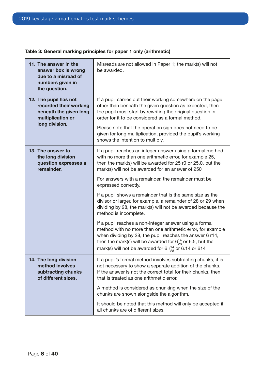| Table 3: General marking principles for paper 1 only (arithmetic) |  |  |
|-------------------------------------------------------------------|--|--|
|-------------------------------------------------------------------|--|--|

| 11. The answer in the<br>answer box is wrong<br>due to a misread of<br>numbers given in<br>the question. | Misreads are not allowed in Paper 1; the mark(s) will not<br>be awarded.                                                                                                                                                                                                                                                               |  |  |
|----------------------------------------------------------------------------------------------------------|----------------------------------------------------------------------------------------------------------------------------------------------------------------------------------------------------------------------------------------------------------------------------------------------------------------------------------------|--|--|
| 12. The pupil has not<br>recorded their working<br>beneath the given long<br>multiplication or           | If a pupil carries out their working somewhere on the page<br>other than beneath the given question as expected, then<br>the pupil must start by rewriting the original question in<br>order for it to be considered as a formal method.                                                                                               |  |  |
| long division.                                                                                           | Please note that the operation sign does not need to be<br>given for long multiplication, provided the pupil's working<br>shows the intention to multiply.                                                                                                                                                                             |  |  |
| 13. The answer to<br>the long division<br>question expresses a<br>remainder.                             | If a pupil reaches an integer answer using a formal method<br>with no more than one arithmetic error, for example 25,<br>then the mark(s) will be awarded for 25 r0 or 25.0, but the<br>mark(s) will not be awarded for an answer of 250                                                                                               |  |  |
|                                                                                                          | For answers with a remainder, the remainder must be<br>expressed correctly.                                                                                                                                                                                                                                                            |  |  |
|                                                                                                          | If a pupil shows a remainder that is the same size as the<br>divisor or larger, for example, a remainder of 28 or 29 when<br>dividing by 28, the mark(s) will not be awarded because the<br>method is incomplete.                                                                                                                      |  |  |
|                                                                                                          | If a pupil reaches a non-integer answer using a formal<br>method with no more than one arithmetic error, for example<br>when dividing by 28, the pupil reaches the answer 6 r14,<br>then the mark(s) will be awarded for $6\frac{14}{28}$ or 6.5, but the<br>mark(s) will not be awarded for 6 $r_{\frac{14}{28}}^{14}$ or 6.14 or 614 |  |  |
| 14. The long division<br>method involves<br>subtracting chunks<br>of different sizes.                    | If a pupil's formal method involves subtracting chunks, it is<br>not necessary to show a separate addition of the chunks.<br>If the answer is not the correct total for their chunks, then<br>that is treated as one arithmetic error.                                                                                                 |  |  |
|                                                                                                          | A method is considered as chunking when the size of the<br>chunks are shown alongside the algorithm.                                                                                                                                                                                                                                   |  |  |
|                                                                                                          | It should be noted that this method will only be accepted if<br>all chunks are of different sizes.                                                                                                                                                                                                                                     |  |  |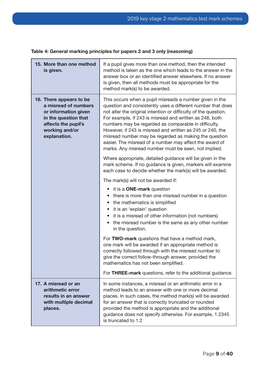| 15. More than one method<br>is given.                                                                                                                    | If a pupil gives more than one method, then the intended<br>method is taken as the one which leads to the answer in the<br>answer box or an identified answer elsewhere. If no answer<br>is given, then all methods must be appropriate for the<br>method mark(s) to be awarded.                                                                                                                                                                                                                                                                      |  |
|----------------------------------------------------------------------------------------------------------------------------------------------------------|-------------------------------------------------------------------------------------------------------------------------------------------------------------------------------------------------------------------------------------------------------------------------------------------------------------------------------------------------------------------------------------------------------------------------------------------------------------------------------------------------------------------------------------------------------|--|
| 16. There appears to be<br>a misread of numbers<br>or information given<br>in the question that<br>affects the pupil's<br>working and/or<br>explanation. | This occurs when a pupil misreads a number given in the<br>question and consistently uses a different number that does<br>not alter the original intention or difficulty of the question.<br>For example, if 243 is misread and written as 248, both<br>numbers may be regarded as comparable in difficulty.<br>However, if 243 is misread and written as 245 or 240, the<br>misread number may be regarded as making the question<br>easier. The misread of a number may affect the award of<br>marks. Any misread number must be seen, not implied. |  |
|                                                                                                                                                          | Where appropriate, detailed guidance will be given in the<br>mark scheme. If no guidance is given, markers will examine<br>each case to decide whether the mark(s) will be awarded.                                                                                                                                                                                                                                                                                                                                                                   |  |
|                                                                                                                                                          | The mark(s) will not be awarded if:                                                                                                                                                                                                                                                                                                                                                                                                                                                                                                                   |  |
|                                                                                                                                                          | it is a <b>ONE-mark</b> question<br>$\bullet$<br>there is more than one misread number in a question<br>• the mathematics is simplified<br>it is an 'explain' question<br>it is a misread of other information (not numbers)<br>the misread number is the same as any other number<br>in the question.                                                                                                                                                                                                                                                |  |
|                                                                                                                                                          | For TWO-mark questions that have a method mark,<br>one mark will be awarded if an appropriate method is<br>correctly followed through with the misread number to<br>give the correct follow-through answer, provided the<br>mathematics has not been simplified.                                                                                                                                                                                                                                                                                      |  |
|                                                                                                                                                          | For THREE-mark questions, refer to the additional guidance.                                                                                                                                                                                                                                                                                                                                                                                                                                                                                           |  |
| 17. A misread or an<br>arithmetic error<br>results in an answer<br>with multiple decimal<br>places.                                                      | In some instances, a misread or an arithmetic error in a<br>method leads to an answer with one or more decimal<br>places. In such cases, the method mark(s) will be awarded<br>for an answer that is correctly truncated or rounded<br>provided the method is appropriate and the additional<br>guidance does not specify otherwise. For example, 1.2345<br>is truncated to 1.2                                                                                                                                                                       |  |

#### Table 4: General marking principles for papers 2 and 3 only (reasoning)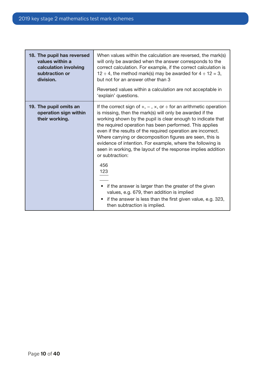| 18. The pupil has reversed<br>values within a<br>calculation involving<br>subtraction or<br>division. | When values within the calculation are reversed, the mark(s)<br>will only be awarded when the answer corresponds to the<br>correct calculation. For example, if the correct calculation is<br>12 $\div$ 4, the method mark(s) may be awarded for 4 $\div$ 12 = 3,<br>but not for an answer other than 3<br>Reversed values within a calculation are not acceptable in<br>'explain' questions.                                                                                                                                                                                                                                                                                                                                                                                           |  |
|-------------------------------------------------------------------------------------------------------|-----------------------------------------------------------------------------------------------------------------------------------------------------------------------------------------------------------------------------------------------------------------------------------------------------------------------------------------------------------------------------------------------------------------------------------------------------------------------------------------------------------------------------------------------------------------------------------------------------------------------------------------------------------------------------------------------------------------------------------------------------------------------------------------|--|
| 19. The pupil omits an<br>operation sign within<br>their working.                                     | If the correct sign of $+, -$ , $\times$ , or $\div$ for an arithmetic operation<br>is missing, then the mark(s) will only be awarded if the<br>working shown by the pupil is clear enough to indicate that<br>the required operation has been performed. This applies<br>even if the results of the required operation are incorrect.<br>Where carrying or decomposition figures are seen, this is<br>evidence of intention. For example, where the following is<br>seen in working, the layout of the response implies addition<br>or subtraction:<br>456<br>123<br>• if the answer is larger than the greater of the given<br>values, e.g. 679, then addition is implied<br>if the answer is less than the first given value, e.g. 323,<br>$\bullet$<br>then subtraction is implied. |  |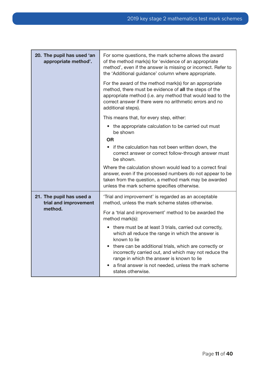| 20. The pupil has used 'an<br>appropriate method'. | For some questions, the mark scheme allows the award<br>of the method mark(s) for 'evidence of an appropriate<br>method', even if the answer is missing or incorrect. Refer to<br>the 'Additional guidance' column where appropriate.                            |  |  |
|----------------------------------------------------|------------------------------------------------------------------------------------------------------------------------------------------------------------------------------------------------------------------------------------------------------------------|--|--|
|                                                    | For the award of the method mark(s) for an appropriate<br>method, there must be evidence of all the steps of the<br>appropriate method (i.e. any method that would lead to the<br>correct answer if there were no arithmetic errors and no<br>additional steps). |  |  |
|                                                    | This means that, for every step, either:                                                                                                                                                                                                                         |  |  |
|                                                    | the appropriate calculation to be carried out must<br>be shown                                                                                                                                                                                                   |  |  |
|                                                    | <b>OR</b>                                                                                                                                                                                                                                                        |  |  |
|                                                    | • if the calculation has not been written down, the<br>correct answer or correct follow-through answer must<br>be shown.                                                                                                                                         |  |  |
|                                                    | Where the calculation shown would lead to a correct final<br>answer, even if the processed numbers do not appear to be<br>taken from the question, a method mark may be awarded<br>unless the mark scheme specifies otherwise.                                   |  |  |
| 21. The pupil has used a                           |                                                                                                                                                                                                                                                                  |  |  |
| trial and improvement                              | 'Trial and improvement' is regarded as an acceptable<br>method, unless the mark scheme states otherwise.                                                                                                                                                         |  |  |
| method.                                            | For a 'trial and improvement' method to be awarded the<br>method mark(s):                                                                                                                                                                                        |  |  |
|                                                    | • there must be at least 3 trials, carried out correctly,<br>which all reduce the range in which the answer is<br>known to lie                                                                                                                                   |  |  |
|                                                    | there can be additional trials, which are correctly or<br>incorrectly carried out, and which may not reduce the<br>range in which the answer is known to lie<br>a final answer is not needed, unless the mark scheme                                             |  |  |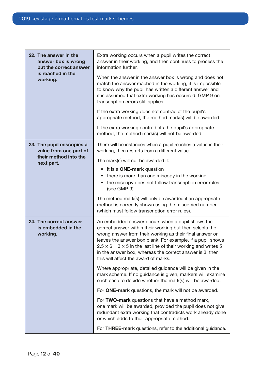| 22. The answer in the<br>answer box is wrong<br>but the correct answer | Extra working occurs when a pupil writes the correct<br>answer in their working, and then continues to process the<br>information further.                                                                                                                                                                                                                                                                               |  |
|------------------------------------------------------------------------|--------------------------------------------------------------------------------------------------------------------------------------------------------------------------------------------------------------------------------------------------------------------------------------------------------------------------------------------------------------------------------------------------------------------------|--|
| is reached in the<br>working.                                          | When the answer in the answer box is wrong and does not<br>match the answer reached in the working, it is impossible<br>to know why the pupil has written a different answer and<br>it is assumed that extra working has occurred. GMP 9 on<br>transcription errors still applies.                                                                                                                                       |  |
|                                                                        | If the extra working does not contradict the pupil's<br>appropriate method, the method mark(s) will be awarded.                                                                                                                                                                                                                                                                                                          |  |
|                                                                        | If the extra working contradicts the pupil's appropriate<br>method, the method mark(s) will not be awarded.                                                                                                                                                                                                                                                                                                              |  |
| 23. The pupil miscopies a<br>value from one part of                    | There will be instances when a pupil reaches a value in their<br>working, then restarts from a different value.                                                                                                                                                                                                                                                                                                          |  |
| their method into the<br>next part.                                    | The mark(s) will not be awarded if:                                                                                                                                                                                                                                                                                                                                                                                      |  |
|                                                                        | • it is a ONE-mark question                                                                                                                                                                                                                                                                                                                                                                                              |  |
|                                                                        | there is more than one miscopy in the working<br>the miscopy does not follow transcription error rules<br>(see GMP 9).                                                                                                                                                                                                                                                                                                   |  |
|                                                                        | The method mark(s) will only be awarded if an appropriate<br>method is correctly shown using the miscopied number<br>(which must follow transcription error rules).                                                                                                                                                                                                                                                      |  |
| 24. The correct answer<br>is embedded in the<br>working.               | An embedded answer occurs when a pupil shows the<br>correct answer within their working but then selects the<br>wrong answer from their working as their final answer or<br>leaves the answer box blank. For example, if a pupil shows<br>$2.5 \times 6 = 3 \times 5$ in the last line of their working and writes 5<br>in the answer box, whereas the correct answer is 3, then<br>this will affect the award of marks. |  |
|                                                                        | Where appropriate, detailed guidance will be given in the<br>mark scheme. If no guidance is given, markers will examine<br>each case to decide whether the mark(s) will be awarded.                                                                                                                                                                                                                                      |  |
|                                                                        | For ONE-mark questions, the mark will not be awarded.                                                                                                                                                                                                                                                                                                                                                                    |  |
|                                                                        | For TWO-mark questions that have a method mark,<br>one mark will be awarded, provided the pupil does not give<br>redundant extra working that contradicts work already done<br>or which adds to their appropriate method.                                                                                                                                                                                                |  |
|                                                                        | For THREE-mark questions, refer to the additional guidance.                                                                                                                                                                                                                                                                                                                                                              |  |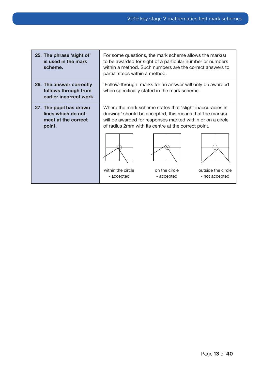| 25. The phrase 'sight of'<br>is used in the mark<br>scheme.                    | For some questions, the mark scheme allows the mark(s)<br>to be awarded for sight of a particular number or numbers<br>within a method. Such numbers are the correct answers to<br>partial steps within a method.                                                                                      |  |  |
|--------------------------------------------------------------------------------|--------------------------------------------------------------------------------------------------------------------------------------------------------------------------------------------------------------------------------------------------------------------------------------------------------|--|--|
| 26. The answer correctly<br>follows through from<br>earlier incorrect work.    | 'Follow-through' marks for an answer will only be awarded<br>when specifically stated in the mark scheme.                                                                                                                                                                                              |  |  |
| 27. The pupil has drawn<br>lines which do not<br>meet at the correct<br>point. | Where the mark scheme states that 'slight inaccuracies in<br>drawing' should be accepted, this means that the mark(s)<br>will be awarded for responses marked within or on a circle<br>of radius 2mm with its centre at the correct point.<br>within the circle<br>on the circle<br>outside the circle |  |  |
|                                                                                | - not accepted<br>- accepted<br>- accepted                                                                                                                                                                                                                                                             |  |  |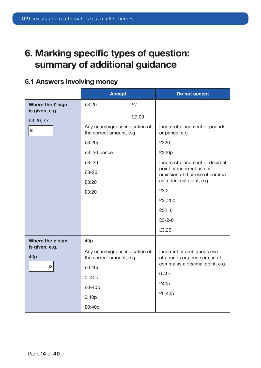## <span id="page-13-0"></span>6. Marking specific types of question: summary of additional guidance

### 6.1 Answers involving money

|                                    | <b>Accept</b>                                             |             | Do not accept                                              |
|------------------------------------|-----------------------------------------------------------|-------------|------------------------------------------------------------|
| Where the £ sign<br>is given, e.g. | £3.20                                                     | £7<br>£7.00 |                                                            |
| £3.20, £7<br>£                     | Any unambiguous indication of<br>the correct amount, e.g. |             | Incorrect placement of pounds<br>or pence, e.g.            |
|                                    | £3.20p                                                    |             | £320                                                       |
|                                    | £3 20 pence                                               |             | £320p                                                      |
|                                    | £3 20                                                     |             | Incorrect placement of decimal                             |
|                                    | £3-20                                                     |             | point or incorrect use or<br>omission of 0 or use of comma |
|                                    | £3:20                                                     |             | as a decimal point, e.g.                                   |
|                                    | £3;20                                                     |             | £3.2                                                       |
|                                    |                                                           |             | £3 200                                                     |
|                                    |                                                           |             | £32 0                                                      |
|                                    |                                                           |             | $£3 - 2 - 0$                                               |
|                                    |                                                           |             | £3,20                                                      |
| Where the p sign                   | 40 <sub>p</sub>                                           |             |                                                            |
| is given, e.g.<br>40 <sub>p</sub>  | Any unambiguous indication of<br>the correct amount, e.g. |             | Incorrect or ambiguous use<br>of pounds or pence or use of |
| p                                  | £0.40p                                                    |             | comma as a decimal point, e.g.                             |
|                                    | 0 40p                                                     |             | 0.40 <sub>p</sub>                                          |
|                                    | £0-40p                                                    |             | £40p                                                       |
|                                    | 0:40p                                                     |             | £0,40p                                                     |
|                                    | £0;40p                                                    |             |                                                            |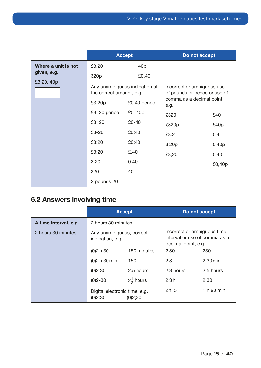<span id="page-14-0"></span>

|                                                  |                                                                    | <b>Accept</b>                                                                      | Do not accept                                                                                   |                                                           |
|--------------------------------------------------|--------------------------------------------------------------------|------------------------------------------------------------------------------------|-------------------------------------------------------------------------------------------------|-----------------------------------------------------------|
| Where a unit is not<br>given, e.g.<br>£3.20, 40p | £3.20<br>320p<br>the correct amount, e.g.<br>£3.20p<br>£3 20 pence | 40 <sub>p</sub><br>£0.40<br>Any unambiguous indication of<br>£0.40 pence<br>£0 40p | Incorrect or ambiguous use<br>of pounds or pence or use of<br>comma as a decimal point,<br>e.g. |                                                           |
|                                                  | £3 20<br>£3-20<br>£3:20<br>£3;20<br>3.20<br>320<br>3 pounds 20     | $£0-40$<br>£0:40<br>£0;40<br>£.40<br>0.40<br>40                                    | £320<br>£320p<br>£3.2<br>3.20p<br>£3,20                                                         | £40<br>£40p<br>0.4<br>0.40 <sub>p</sub><br>0,40<br>£0,40p |

### 6.2 Answers involving time

|                       |                                                     | <b>Accept</b> |                                                                                     | Do not accept |
|-----------------------|-----------------------------------------------------|---------------|-------------------------------------------------------------------------------------|---------------|
| A time interval, e.g. | 2 hours 30 minutes                                  |               |                                                                                     |               |
| 2 hours 30 minutes    | Any unambiguous, correct<br>indication, e.g.        |               | Incorrect or ambiguous time<br>interval or use of comma as a<br>decimal point, e.g. |               |
|                       | 150 minutes<br>(0)2h30                              |               | 2.30                                                                                | 230           |
|                       | (0)2 h 30 min<br>150                                |               | 2.3                                                                                 | $2.30$ min    |
|                       | (0)230                                              | 2.5 hours     | 2.3 hours                                                                           | 2,5 hours     |
|                       | $2\frac{1}{2}$ hours<br>$(0)2 - 30$                 |               | 2.3h                                                                                | 2,30          |
|                       | Digital electronic time, e.g.<br>(0)2:30<br>(0)2;30 |               | 2h <sub>3</sub>                                                                     | 1 h 90 min    |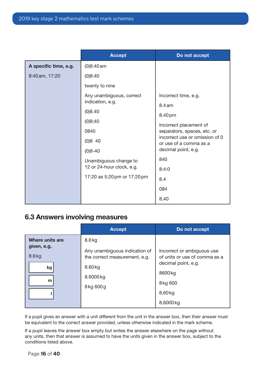<span id="page-15-0"></span>

|                       | <b>Accept</b>                | Do not accept                                            |
|-----------------------|------------------------------|----------------------------------------------------------|
| A specific time, e.g. | $(0)8:40$ am                 |                                                          |
| 8:40 am, 17:20        | (0)8:40                      |                                                          |
|                       | twenty to nine               |                                                          |
|                       | Any unambiguous, correct     | Incorrect time, e.g.                                     |
|                       | indication, e.g.             | 8.4 <sub>am</sub>                                        |
|                       | (0)8.40                      | 8.40 pm                                                  |
|                       | (0)8;40                      | Incorrect placement of                                   |
|                       | 0840                         | separators, spaces, etc. or                              |
|                       | $(0)8$ 40                    | incorrect use or omission of 0<br>or use of a comma as a |
|                       | $(0)8 - 40$                  | decimal point, e.g.                                      |
|                       | Unambiguous change to        | 840                                                      |
|                       | 12 or 24-hour clock, e.g.    | 8:4:0                                                    |
|                       | 17:20 as 5:20 pm or 17:20 pm | 8.4                                                      |
|                       |                              | 084                                                      |
|                       |                              | 8,40                                                     |

### 6.3 Answers involving measures

|                         | <b>Accept</b>                                                  | Do not accept                                               |
|-------------------------|----------------------------------------------------------------|-------------------------------------------------------------|
| Where units are         | $8.6$ kg                                                       |                                                             |
| given, e.g.<br>$8.6$ kg | Any unambiguous indication of<br>the correct measurement, e.g. | Incorrect or ambiguous use<br>of units or use of comma as a |
| kg                      | 8.60 kg                                                        | decimal point, e.g.                                         |
| m                       | 8.6000 kg                                                      | 8600 kg                                                     |
|                         | 8kg 600g                                                       | 8kg 600                                                     |
|                         |                                                                | 8,60 kg                                                     |
|                         |                                                                | 8,6000 kg                                                   |

If a pupil gives an answer with a unit different from the unit in the answer box, then their answer must be equivalent to the correct answer provided, unless otherwise indicated in the mark scheme.

If a pupil leaves the answer box empty but writes the answer elsewhere on the page without any units, then that answer is assumed to have the units given in the answer box, subject to the conditions listed above.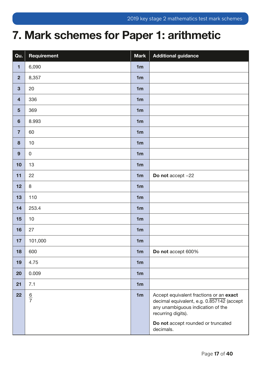## <span id="page-16-0"></span>7. Mark schemes for Paper 1: arithmetic

| Qu.                     | Requirement   | <b>Mark</b>    | <b>Additional guidance</b>                                                                                                                                                            |
|-------------------------|---------------|----------------|---------------------------------------------------------------------------------------------------------------------------------------------------------------------------------------|
| $\blacksquare$          | 6,090         | 1 <sub>m</sub> |                                                                                                                                                                                       |
| $\overline{2}$          | 8,357         | 1 <sub>m</sub> |                                                                                                                                                                                       |
| $\mathbf{3}$            | 20            | 1 <sub>m</sub> |                                                                                                                                                                                       |
| $\overline{\mathbf{4}}$ | 336           | 1 <sub>m</sub> |                                                                                                                                                                                       |
| $5\phantom{1}$          | 369           | 1 <sub>m</sub> |                                                                                                                                                                                       |
| $6\phantom{1}$          | 8.993         | 1 <sub>m</sub> |                                                                                                                                                                                       |
| $\overline{7}$          | 60            | 1 <sub>m</sub> |                                                                                                                                                                                       |
| 8                       | 10            | 1 <sub>m</sub> |                                                                                                                                                                                       |
| 9                       | $\mathbf 0$   | 1 <sub>m</sub> |                                                                                                                                                                                       |
| 10                      | 13            | 1 <sub>m</sub> |                                                                                                                                                                                       |
| 11                      | 22            | 1 <sub>m</sub> | Do not accept -22                                                                                                                                                                     |
| 12                      | $\,8\,$       | 1 <sub>m</sub> |                                                                                                                                                                                       |
| 13                      | 110           | 1 <sub>m</sub> |                                                                                                                                                                                       |
| 14                      | 253.4         | 1 <sub>m</sub> |                                                                                                                                                                                       |
| 15                      | 10            | 1 <sub>m</sub> |                                                                                                                                                                                       |
| 16                      | 27            | 1 <sub>m</sub> |                                                                                                                                                                                       |
| 17                      | 101,000       | 1 <sub>m</sub> |                                                                                                                                                                                       |
| 18                      | 600           | 1 <sub>m</sub> | Do not accept 600%                                                                                                                                                                    |
| 19                      | 4.75          | 1 <sub>m</sub> |                                                                                                                                                                                       |
| 20                      | 0.009         | 1 <sub>m</sub> |                                                                                                                                                                                       |
| 21                      | 7.1           | 1 <sub>m</sub> |                                                                                                                                                                                       |
| 22                      | $\frac{6}{7}$ | 1 <sub>m</sub> | Accept equivalent fractions or an exact<br>decimal equivalent, e.g. 0.857142 (accept<br>any unambiguous indication of the<br>recurring digits).<br>Do not accept rounded or truncated |
|                         |               |                | decimals.                                                                                                                                                                             |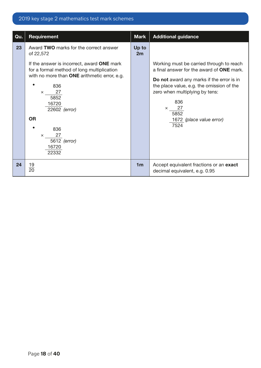| Qu. | Requirement                                                                                                                                                                                                                                                                                                             | <b>Mark</b>    | <b>Additional guidance</b>                                                                                                                                                                                                                                                                    |
|-----|-------------------------------------------------------------------------------------------------------------------------------------------------------------------------------------------------------------------------------------------------------------------------------------------------------------------------|----------------|-----------------------------------------------------------------------------------------------------------------------------------------------------------------------------------------------------------------------------------------------------------------------------------------------|
| 23  | Award TWO marks for the correct answer<br>of 22,572<br>If the answer is incorrect, award <b>ONE</b> mark<br>for a formal method of long multiplication<br>with no more than ONE arithmetic error, e.g.<br>836<br>27<br>$\times$<br>5852<br>16720<br>22602 (error)<br><b>OR</b><br>836<br>27<br>$\times$<br>5612 (error) | Up to<br>2m    | Working must be carried through to reach<br>a final answer for the award of <b>ONE</b> mark.<br>Do not award any marks if the error is in<br>the place value, e.g. the omission of the<br>zero when multiplying by tens:<br>836<br>27<br>$\times$<br>5852<br>1672 (place value error)<br>7524 |
|     | 16720<br>22332                                                                                                                                                                                                                                                                                                          |                |                                                                                                                                                                                                                                                                                               |
| 24  | $\frac{19}{20}$                                                                                                                                                                                                                                                                                                         | 1 <sub>m</sub> | Accept equivalent fractions or an exact<br>decimal equivalent, e.g. 0.95                                                                                                                                                                                                                      |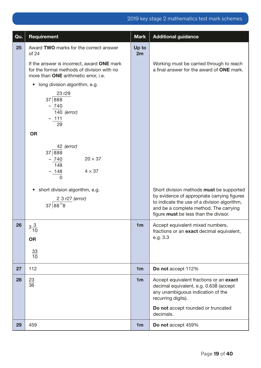| Qu. | Requirement                                                                                                                      | <b>Mark</b>    | <b>Additional guidance</b>                                                                                                                                                                                                 |
|-----|----------------------------------------------------------------------------------------------------------------------------------|----------------|----------------------------------------------------------------------------------------------------------------------------------------------------------------------------------------------------------------------------|
| 25  | Award TWO marks for the correct answer<br>of 24                                                                                  | Up to<br>2m    |                                                                                                                                                                                                                            |
|     | If the answer is incorrect, award ONE mark<br>for the formal methods of division with no<br>more than ONE arithmetic error, i.e. |                | Working must be carried through to reach<br>a final answer for the award of ONE mark.                                                                                                                                      |
|     | long division algorithm, e.g.<br>$\bullet$                                                                                       |                |                                                                                                                                                                                                                            |
|     | 23r29<br>37 888<br>$-740$<br>$140$ (error)<br><u>– 111</u><br>29                                                                 |                |                                                                                                                                                                                                                            |
|     | <b>OR</b>                                                                                                                        |                |                                                                                                                                                                                                                            |
|     | 42 (error)<br>37 888<br>$20 \times 37$<br>$-740$<br>$\overline{148}$<br>$4 \times 37$<br>$-\frac{148}{0}$                        |                |                                                                                                                                                                                                                            |
|     | short division algorithm, e.g.<br>2 3 r27 (error)<br>$37 88^{14}8$                                                               |                | Short division methods must be supported<br>by evidence of appropriate carrying figures<br>to indicate the use of a division algorithm,<br>and be a complete method. The carrying<br>figure must be less than the divisor. |
| 26  | $3\frac{3}{10}$<br><b>OR</b>                                                                                                     | 1 <sub>m</sub> | Accept equivalent mixed numbers<br>fractions or an exact decimal equivalent,<br>e.g. 3.3                                                                                                                                   |
|     | $\frac{33}{10}$                                                                                                                  |                |                                                                                                                                                                                                                            |
| 27  | 112                                                                                                                              | 1 <sub>m</sub> | Do not accept 112%                                                                                                                                                                                                         |
| 28  | $\frac{23}{36}$                                                                                                                  | 1 <sub>m</sub> | Accept equivalent fractions or an exact<br>decimal equivalent, e.g. 0.638 (accept<br>any unambiguous indication of the<br>recurring digits).                                                                               |
|     |                                                                                                                                  |                | Do not accept rounded or truncated<br>decimals.                                                                                                                                                                            |
| 29  | 459                                                                                                                              | 1 <sub>m</sub> | Do not accept 459%                                                                                                                                                                                                         |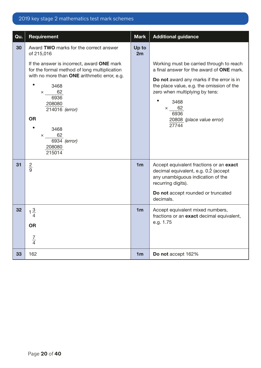| Qu. | Requirement                                                                                                                                                                                                                                                                                  | <b>Mark</b>    | <b>Additional guidance</b>                                                                                                                                                                                                                                                             |
|-----|----------------------------------------------------------------------------------------------------------------------------------------------------------------------------------------------------------------------------------------------------------------------------------------------|----------------|----------------------------------------------------------------------------------------------------------------------------------------------------------------------------------------------------------------------------------------------------------------------------------------|
| 30  | Award TWO marks for the correct answer<br>of 215,016                                                                                                                                                                                                                                         | Up to<br>2m    |                                                                                                                                                                                                                                                                                        |
|     | If the answer is incorrect, award ONE mark<br>for the formal method of long multiplication<br>with no more than ONE arithmetic error, e.g.<br>3468<br>62<br>$\times$ $\times$<br>6936<br>208080<br>214016 (error)<br><b>OR</b><br>3468<br>62<br>$\times$<br>6934 (error)<br>208080<br>215014 |                | Working must be carried through to reach<br>a final answer for the award of ONE mark.<br>Do not award any marks if the error is in<br>the place value, e.g. the omission of the<br>zero when multiplying by tens:<br>3468<br>$\times$ 62<br>6936<br>20808 (place value error)<br>27744 |
| 31  | $rac{2}{9}$                                                                                                                                                                                                                                                                                  | 1 <sub>m</sub> | Accept equivalent fractions or an exact<br>decimal equivalent, e.g. 0.2 (accept<br>any unambiguous indication of the<br>recurring digits).<br>Do not accept rounded or truncated<br>decimals.                                                                                          |
| 32  | OR<br>$\frac{7}{4}$                                                                                                                                                                                                                                                                          | 1 <sub>m</sub> | Accept equivalent mixed numbers,<br>fractions or an exact decimal equivalent,<br>e.g. 1.75                                                                                                                                                                                             |
| 33  | 162                                                                                                                                                                                                                                                                                          | 1 <sub>m</sub> | Do not accept 162%                                                                                                                                                                                                                                                                     |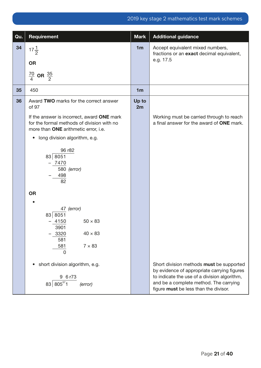| Qu. | <b>Requirement</b>                                                                                                                 | <b>Mark</b>    | <b>Additional guidance</b>                                                                                                                                                                                                 |
|-----|------------------------------------------------------------------------------------------------------------------------------------|----------------|----------------------------------------------------------------------------------------------------------------------------------------------------------------------------------------------------------------------------|
| 34  | $17\frac{1}{2}$                                                                                                                    | 1 <sub>m</sub> | Accept equivalent mixed numbers,<br>fractions or an exact decimal equivalent,                                                                                                                                              |
|     | <b>OR</b>                                                                                                                          |                | e.g. 17.5                                                                                                                                                                                                                  |
|     | $\frac{70}{4}$ OR $\frac{35}{2}$                                                                                                   |                |                                                                                                                                                                                                                            |
| 35  | 450                                                                                                                                | 1 <sub>m</sub> |                                                                                                                                                                                                                            |
| 36  | Award TWO marks for the correct answer<br>of 97                                                                                    | Up to<br>2m    |                                                                                                                                                                                                                            |
|     | If the answer is incorrect, award ONE mark<br>for the formal methods of division with no<br>more than ONE arithmetic error, i.e.   |                | Working must be carried through to reach<br>a final answer for the award of ONE mark.                                                                                                                                      |
|     | long division algorithm, e.g.<br>$\bullet$                                                                                         |                |                                                                                                                                                                                                                            |
|     | 96 r82<br>83 8051<br>7470<br>580 (error)<br>498<br>82                                                                              |                |                                                                                                                                                                                                                            |
|     | <b>OR</b>                                                                                                                          |                |                                                                                                                                                                                                                            |
|     | 47 (error)<br>83 8051<br>$50 \times 83$<br>4150<br>3901<br>3320<br>$40 \times 83$<br>581<br>$7 \times 83$<br>581<br>$\overline{0}$ |                |                                                                                                                                                                                                                            |
|     | short division algorithm, e.g.<br>$\bullet$<br>9 6 r73<br>83 805571<br>(error)                                                     |                | Short division methods must be supported<br>by evidence of appropriate carrying figures<br>to indicate the use of a division algorithm,<br>and be a complete method. The carrying<br>figure must be less than the divisor. |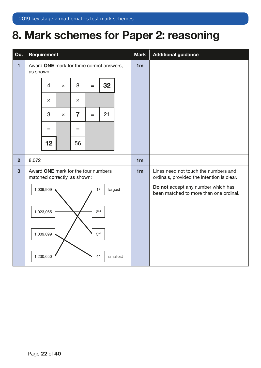## <span id="page-21-0"></span>8. Mark schemes for Paper 2: reasoning

| Qu.            | <b>Requirement</b>                                                  |                |                |                                                                                    |                 |    |                | <b>Mark</b>    | <b>Additional guidance</b>                                                   |
|----------------|---------------------------------------------------------------------|----------------|----------------|------------------------------------------------------------------------------------|-----------------|----|----------------|----------------|------------------------------------------------------------------------------|
| $\blacksquare$ | Award ONE mark for three correct answers,<br>as shown:              |                |                |                                                                                    |                 |    | 1 <sub>m</sub> |                |                                                                              |
|                |                                                                     | $\overline{4}$ | $\times$       | 8                                                                                  | $=$             | 32 |                |                |                                                                              |
|                |                                                                     | $\times$       |                | $\times$                                                                           |                 |    |                |                |                                                                              |
|                |                                                                     | 3              | $\times$       | $\overline{7}$                                                                     | $=$             | 21 |                |                |                                                                              |
|                |                                                                     | $=$            |                | $=$                                                                                |                 |    |                |                |                                                                              |
|                |                                                                     | 12             |                | 56                                                                                 |                 |    |                |                |                                                                              |
| $\overline{2}$ | 8,072                                                               |                |                |                                                                                    |                 |    |                | 1 <sub>m</sub> |                                                                              |
| 3              | Award ONE mark for the four numbers<br>matched correctly, as shown: |                | 1 <sub>m</sub> | Lines need not touch the numbers and<br>ordinals, provided the intention is clear. |                 |    |                |                |                                                                              |
|                |                                                                     | 1,009,909      |                |                                                                                    | 1 <sup>st</sup> |    | largest        |                | Do not accept any number which has<br>been matched to more than one ordinal. |
|                |                                                                     | 1,023,065      |                |                                                                                    | 2 <sup>nd</sup> |    |                |                |                                                                              |
|                |                                                                     | 1,009,099      |                |                                                                                    | 3 <sup>rd</sup> |    |                |                |                                                                              |
|                |                                                                     | 1,230,650      |                |                                                                                    | 4 <sup>th</sup> |    | smallest       |                |                                                                              |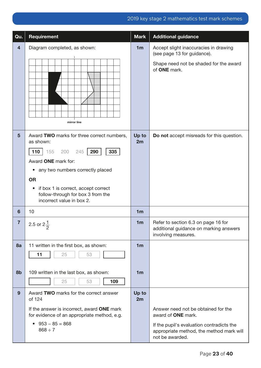| Qu.                     | Requirement                                                                                                        | <b>Mark</b>    | <b>Additional guidance</b>                                                                               |
|-------------------------|--------------------------------------------------------------------------------------------------------------------|----------------|----------------------------------------------------------------------------------------------------------|
| $\overline{\mathbf{4}}$ | Diagram completed, as shown:                                                                                       | 1 <sub>m</sub> | Accept slight inaccuracies in drawing<br>(see page 13 for guidance).                                     |
|                         | mirror line                                                                                                        |                | Shape need not be shaded for the award<br>of ONE mark.                                                   |
| $5\phantom{1}$          | Award TWO marks for three correct numbers,<br>as shown:                                                            | Up to<br>2m    | Do not accept misreads for this question.                                                                |
|                         | <b>110</b>   155<br>290<br>200<br>245<br>335                                                                       |                |                                                                                                          |
|                         | Award ONE mark for:                                                                                                |                |                                                                                                          |
|                         | any two numbers correctly placed<br>$\bullet$                                                                      |                |                                                                                                          |
|                         | <b>OR</b>                                                                                                          |                |                                                                                                          |
|                         | if box 1 is correct, accept correct<br>$\bullet$<br>follow-through for box 3 from the<br>incorrect value in box 2. |                |                                                                                                          |
| 6                       | 10                                                                                                                 | 1 <sub>m</sub> |                                                                                                          |
| 7                       | 2.5 or $2\frac{1}{2}$<br>2                                                                                         | 1 <sub>m</sub> | Refer to section 6.3 on page 16 for<br>additional guidance on marking answers<br>involving measures.     |
| 8a                      | 11 written in the first box, as shown:                                                                             | 1 <sub>m</sub> |                                                                                                          |
|                         | 11<br>25<br>53                                                                                                     |                |                                                                                                          |
|                         |                                                                                                                    |                |                                                                                                          |
| 8b                      | 109 written in the last box, as shown:                                                                             | 1 <sub>m</sub> |                                                                                                          |
|                         | 109<br>25<br>53                                                                                                    |                |                                                                                                          |
| 9                       | Award TWO marks for the correct answer<br>of 124                                                                   | Up to<br>2m    |                                                                                                          |
|                         | If the answer is incorrect, award ONE mark<br>for evidence of an appropriate method, e.g.                          |                | Answer need not be obtained for the<br>award of <b>ONE</b> mark.                                         |
|                         | $953 - 85 = 868$<br>$\bullet$<br>$868 \div 7$                                                                      |                | If the pupil's evaluation contradicts the<br>appropriate method, the method mark will<br>not be awarded. |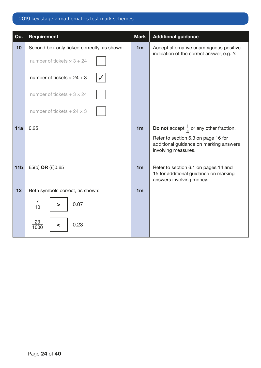| Qu.             | <b>Requirement</b>                          | <b>Mark</b>    | <b>Additional guidance</b>                                                                                |
|-----------------|---------------------------------------------|----------------|-----------------------------------------------------------------------------------------------------------|
| 10              | Second box only ticked correctly, as shown: | 1 <sub>m</sub> | Accept alternative unambiguous positive<br>indication of the correct answer, e.g. Y.                      |
|                 | number of tickets $\times$ 3 + 24           |                |                                                                                                           |
|                 | number of tickets $\times$ 24 + 3           |                |                                                                                                           |
|                 | number of tickets $+3 \times 24$            |                |                                                                                                           |
|                 | number of tickets + $24 \times 3$           |                |                                                                                                           |
| 11a             | 0.25                                        | 1 <sub>m</sub> | <b>Do not</b> accept $\frac{1}{4}$ or any other fraction.                                                 |
|                 |                                             |                | Refer to section 6.3 on page 16 for<br>additional guidance on marking answers<br>involving measures.      |
| 11 <sub>b</sub> | 65(p) OR (£)0.65                            | 1 <sub>m</sub> | Refer to section 6.1 on pages 14 and<br>15 for additional guidance on marking<br>answers involving money. |
| 12              | Both symbols correct, as shown:             | 1 <sub>m</sub> |                                                                                                           |
|                 | $rac{7}{10}$<br>0.07<br>>                   |                |                                                                                                           |
|                 | <u>23</u><br>0.23<br>$\prec$<br>100C        |                |                                                                                                           |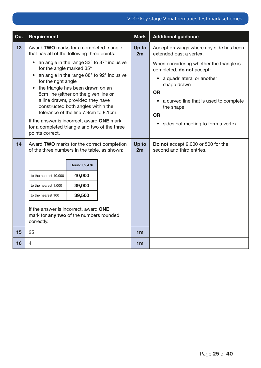| Qu. | Requirement                                                                                                    |                                                                                          |             | <b>Mark</b>                                                        | <b>Additional guidance</b>                                            |
|-----|----------------------------------------------------------------------------------------------------------------|------------------------------------------------------------------------------------------|-------------|--------------------------------------------------------------------|-----------------------------------------------------------------------|
| 13  | Award TWO marks for a completed triangle<br>that has all of the following three points:                        |                                                                                          | Up to<br>2m | Accept drawings where any side has been<br>extended past a vertex. |                                                                       |
|     | $\bullet$<br>for the angle marked 35°<br>$\bullet$                                                             | an angle in the range 33° to 37° inclusive<br>an angle in the range 88° to 92° inclusive |             |                                                                    | When considering whether the triangle is<br>completed, do not accept: |
|     | for the right angle                                                                                            | the triangle has been drawn on an                                                        |             |                                                                    | a quadrilateral or another<br>shape drawn                             |
|     |                                                                                                                | 8cm line (either on the given line or                                                    |             |                                                                    | <b>OR</b>                                                             |
|     | a line drawn), provided they have<br>constructed both angles within the                                        |                                                                                          |             | a curved line that is used to complete<br>the shape                |                                                                       |
|     | tolerance of the line 7.9cm to 8.1cm.                                                                          |                                                                                          |             | <b>OR</b>                                                          |                                                                       |
|     | If the answer is incorrect, award ONE mark<br>for a completed triangle and two of the three<br>points correct. |                                                                                          |             |                                                                    | sides not meeting to form a vertex.<br>$\bullet$                      |
| 14  | Award TWO marks for the correct completion<br>of the three numbers in the table, as shown:                     |                                                                                          |             | Up to<br>2m                                                        | Do not accept 9,000 or 500 for the<br>second and third entries.       |
|     |                                                                                                                | <b>Round 39,476</b>                                                                      |             |                                                                    |                                                                       |
|     | to the nearest 10,000                                                                                          | 40,000                                                                                   |             |                                                                    |                                                                       |
|     | to the nearest 1,000                                                                                           | 39,000                                                                                   |             |                                                                    |                                                                       |
|     | to the nearest 100                                                                                             | 39,500                                                                                   |             |                                                                    |                                                                       |
|     | If the answer is incorrect, award ONE<br>mark for any two of the numbers rounded<br>correctly.                 |                                                                                          |             |                                                                    |                                                                       |
| 15  | 25                                                                                                             |                                                                                          |             | 1 <sub>m</sub>                                                     |                                                                       |
| 16  | 4                                                                                                              |                                                                                          |             | 1 <sub>m</sub>                                                     |                                                                       |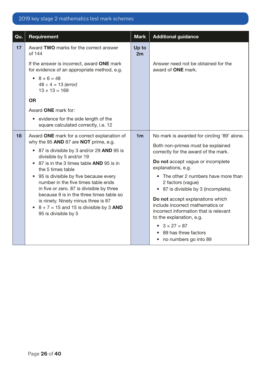| Qu. | Requirement                                                                                                                                            | <b>Mark</b>    | <b>Additional guidance</b>                                                                                                                                         |
|-----|--------------------------------------------------------------------------------------------------------------------------------------------------------|----------------|--------------------------------------------------------------------------------------------------------------------------------------------------------------------|
| 17  | Award TWO marks for the correct answer<br>of 144                                                                                                       | Up to<br>2m    |                                                                                                                                                                    |
|     | If the answer is incorrect, award ONE mark<br>for evidence of an appropriate method, e.g.                                                              |                | Answer need not be obtained for the<br>award of <b>ONE</b> mark.                                                                                                   |
|     | • $8 \times 6 = 48$<br>$48 \div 4 = 13$ (error)<br>$13 \times 13 = 169$                                                                                |                |                                                                                                                                                                    |
|     | <b>OR</b>                                                                                                                                              |                |                                                                                                                                                                    |
|     | Award ONE mark for:                                                                                                                                    |                |                                                                                                                                                                    |
|     | • evidence for the side length of the<br>square calculated correctly, i.e. 12                                                                          |                |                                                                                                                                                                    |
| 18  | Award ONE mark for a correct explanation of                                                                                                            | 1 <sub>m</sub> | No mark is awarded for circling '89' alone.                                                                                                                        |
|     | why the 95 AND 87 are NOT prime, e.g.<br>• 87 is divisible by 3 and/or 29 AND 95 is                                                                    |                | Both non-primes must be explained<br>correctly for the award of the mark.                                                                                          |
|     | divisible by 5 and/or 19<br>• 87 is in the 3 times table AND 95 is in<br>the 5 times table                                                             |                | Do not accept vague or incomplete<br>explanations, e.g.                                                                                                            |
|     | 95 is divisible by five because every<br>number in the five times table ends                                                                           |                | • The other 2 numbers have more than                                                                                                                               |
|     | in five or zero. 87 is divisible by three                                                                                                              |                | 2 factors (vague)<br>• 87 is divisible by 3 (incomplete).                                                                                                          |
|     | because 9 is in the three times table so<br>is ninety. Ninety minus three is 87<br>• $8 + 7 = 15$ and 15 is divisible by 3 AND<br>95 is divisible by 5 |                | Do not accept explanations which<br>include incorrect mathematics or<br>incorrect information that is relevant<br>to the explanation, e.g.<br>• $3 \times 27 = 87$ |
|     |                                                                                                                                                        |                | 89 has three factors<br>no numbers go into 89                                                                                                                      |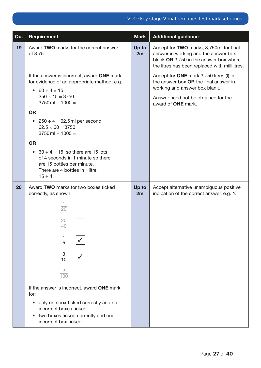| Qu. | <b>Requirement</b>                                                                                                                                      | <b>Mark</b> | <b>Additional guidance</b>                                                                                                                                                  |
|-----|---------------------------------------------------------------------------------------------------------------------------------------------------------|-------------|-----------------------------------------------------------------------------------------------------------------------------------------------------------------------------|
| 19  | Award TWO marks for the correct answer<br>of 3.75                                                                                                       | Up to<br>2m | Accept for TWO marks, 3,750ml for final<br>answer in working and the answer box<br>blank OR 3,750 in the answer box where<br>the litres has been replaced with millilitres. |
|     | If the answer is incorrect, award ONE mark<br>for evidence of an appropriate method, e.g.<br>$60 \div 4 = 15$<br>$\bullet$                              |             | Accept for ONE mark 3,750 litres (I) in<br>the answer box OR the final answer in<br>working and answer box blank.                                                           |
|     | $250 \times 15 = 3750$<br>$3750$ ml $\div$ 1000 =                                                                                                       |             | Answer need not be obtained for the<br>award of <b>ONE</b> mark.                                                                                                            |
|     | <b>OR</b>                                                                                                                                               |             |                                                                                                                                                                             |
|     | • $250 \div 4 = 62.5$ ml per second<br>$62.5 \times 60 = 3750$<br>$3750$ ml $\div$ 1000 =                                                               |             |                                                                                                                                                                             |
|     | <b>OR</b>                                                                                                                                               |             |                                                                                                                                                                             |
|     | • 60 $\div$ 4 = 15, so there are 15 lots<br>of 4 seconds in 1 minute so there<br>are 15 bottles per minute.<br>There are 4 bottles in 1 litre           |             |                                                                                                                                                                             |
|     | $15 \div 4 =$                                                                                                                                           |             |                                                                                                                                                                             |
| 20  | Award TWO marks for two boxes ticked<br>correctly, as shown:                                                                                            | Up to<br>2m | Accept alternative unambiguous positive<br>indication of the correct answer, e.g. Y.                                                                                        |
|     | $\frac{1}{20}$                                                                                                                                          |             |                                                                                                                                                                             |
|     | 20<br>40                                                                                                                                                |             |                                                                                                                                                                             |
|     | $\frac{1}{5}$                                                                                                                                           |             |                                                                                                                                                                             |
|     | $rac{3}{15}$                                                                                                                                            |             |                                                                                                                                                                             |
|     | $rac{2}{100}$                                                                                                                                           |             |                                                                                                                                                                             |
|     | If the answer is incorrect, award ONE mark<br>for:                                                                                                      |             |                                                                                                                                                                             |
|     | only one box ticked correctly and no<br>$\bullet$<br>incorrect boxes ticked<br>two boxes ticked correctly and one<br>$\bullet$<br>incorrect box ticked. |             |                                                                                                                                                                             |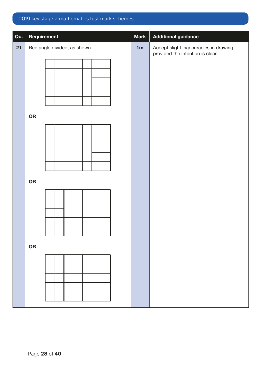| Qu. | Requirement                  | <b>Mark</b> | <b>Additional guidance</b>                                                |
|-----|------------------------------|-------------|---------------------------------------------------------------------------|
| 21  | Rectangle divided, as shown: | 1m          | Accept slight inaccuracies in drawing<br>provided the intention is clear. |
|     |                              |             |                                                                           |
|     |                              |             |                                                                           |
|     |                              |             |                                                                           |
|     | ${\sf OR}$                   |             |                                                                           |
|     |                              |             |                                                                           |
|     |                              |             |                                                                           |
|     |                              |             |                                                                           |
|     | ${\sf OR}$                   |             |                                                                           |
|     |                              |             |                                                                           |
|     |                              |             |                                                                           |
|     |                              |             |                                                                           |
|     | OR                           |             |                                                                           |
|     |                              |             |                                                                           |
|     |                              |             |                                                                           |
|     |                              |             |                                                                           |
|     |                              |             |                                                                           |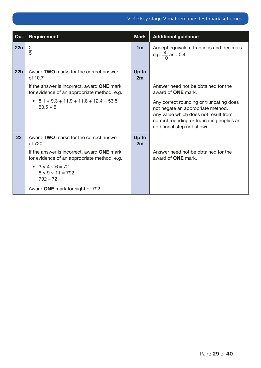| Qu.             | Requirement                                                                               | <b>Mark</b>    | <b>Additional guidance</b>                                                                                                                                                                      |
|-----------------|-------------------------------------------------------------------------------------------|----------------|-------------------------------------------------------------------------------------------------------------------------------------------------------------------------------------------------|
| 22a             | $\frac{2}{5}$                                                                             | 1 <sub>m</sub> | Accept equivalent fractions and decimals<br>e.g. $\frac{4}{10}$ and 0.4                                                                                                                         |
| 22 <sub>b</sub> | Award TWO marks for the correct answer<br>of 10.7                                         | Up to<br>2m    |                                                                                                                                                                                                 |
|                 | If the answer is incorrect, award ONE mark<br>for evidence of an appropriate method, e.g. |                | Answer need not be obtained for the<br>award of <b>ONE</b> mark.                                                                                                                                |
|                 | • $8.1 + 9.3 + 11.9 + 11.8 + 12.4 = 53.5$<br>$53.5 \div 5$                                |                | Any correct rounding or truncating does<br>not negate an appropriate method.<br>Any value which does not result from<br>correct rounding or truncating implies an<br>additional step not shown. |
| 23              | Award TWO marks for the correct answer<br>of 720                                          | Up to<br>2m    |                                                                                                                                                                                                 |
|                 | If the answer is incorrect, award ONE mark<br>for evidence of an appropriate method, e.g. |                | Answer need not be obtained for the<br>award of <b>ONE</b> mark.                                                                                                                                |
|                 | $\bullet$ 3 $\times$ 4 $\times$ 6 = 72<br>$8 \times 9 \times 11 = 792$<br>$792 - 72 =$    |                |                                                                                                                                                                                                 |
|                 | Award ONE mark for sight of 792                                                           |                |                                                                                                                                                                                                 |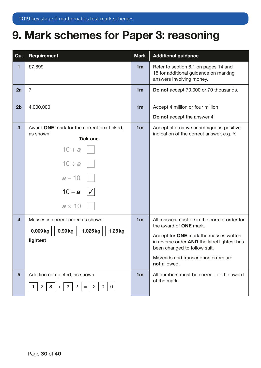## <span id="page-29-0"></span>9. Mark schemes for Paper 3: reasoning

| Qu.            | Requirement                                                                                      | <b>Mark</b>    | <b>Additional guidance</b>                                                                                            |
|----------------|--------------------------------------------------------------------------------------------------|----------------|-----------------------------------------------------------------------------------------------------------------------|
| 1              | £7,899                                                                                           | 1 <sub>m</sub> | Refer to section 6.1 on pages 14 and<br>15 for additional guidance on marking<br>answers involving money.             |
| 2a             | $\overline{7}$                                                                                   | 1 <sub>m</sub> | Do not accept 70,000 or 70 thousands.                                                                                 |
| 2 <sub>b</sub> | 4,000,000                                                                                        | 1 <sub>m</sub> | Accept 4 million or four million                                                                                      |
|                |                                                                                                  |                | Do not accept the answer 4                                                                                            |
| $\mathbf{3}$   | Award ONE mark for the correct box ticked,<br>as shown:<br>Tick one.                             | 1 <sub>m</sub> | Accept alternative unambiguous positive<br>indication of the correct answer, e.g. Y.                                  |
|                | $10 + a$                                                                                         |                |                                                                                                                       |
|                | $10 \div a$                                                                                      |                |                                                                                                                       |
|                | $a - 10$                                                                                         |                |                                                                                                                       |
|                | $10 - a$<br>$\checkmark$                                                                         |                |                                                                                                                       |
|                | $a \times 10$                                                                                    |                |                                                                                                                       |
| $\overline{4}$ | Masses in correct order, as shown:                                                               | 1 <sub>m</sub> | All masses must be in the correct order for<br>the award of <b>ONE</b> mark.                                          |
|                | $0.009$ kg<br>0.99kg<br>$1.025$ kg<br>$1.25$ kg<br>lightest                                      |                | Accept for ONE mark the masses written<br>in reverse order AND the label lightest has<br>been changed to follow suit. |
|                |                                                                                                  |                | Misreads and transcription errors are<br>not allowed.                                                                 |
| $5\phantom{1}$ | Addition completed, as shown<br>$\overline{2}$<br>8<br>$\overline{2}$<br>2<br>0<br>0<br>7<br>$=$ | 1 <sub>m</sub> | All numbers must be correct for the award<br>of the mark.                                                             |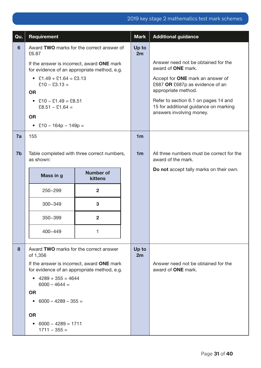| Qu.            | Requirement                                                                               |                                    |  | <b>Mark</b>    | <b>Additional guidance</b>                                                                 |
|----------------|-------------------------------------------------------------------------------------------|------------------------------------|--|----------------|--------------------------------------------------------------------------------------------|
| 6              | Award TWO marks for the correct answer of<br>£6.87                                        |                                    |  | Up to<br>2m    |                                                                                            |
|                | If the answer is incorrect, award ONE mark<br>for evidence of an appropriate method, e.g. |                                    |  |                | Answer need not be obtained for the<br>award of <b>ONE</b> mark.                           |
|                | • £1.49 + £1.64 = £3.13<br>£10 - £3.13 =<br><b>OR</b>                                     |                                    |  |                | Accept for ONE mark an answer of<br>£687 OR £687p as evidence of an<br>appropriate method. |
|                | $£10 - £1.49 = £8.51$<br>$\bullet$<br>£8.51 - £1.64 =                                     |                                    |  |                | Refer to section 6.1 on pages 14 and<br>15 for additional guidance on marking              |
|                | <b>OR</b>                                                                                 |                                    |  |                | answers involving money.                                                                   |
|                | • £10 - 164p - 149p =                                                                     |                                    |  |                |                                                                                            |
| 7a             | 155                                                                                       |                                    |  | 1 <sub>m</sub> |                                                                                            |
| 7 <sub>b</sub> | Table completed with three correct numbers,<br>as shown:                                  |                                    |  | 1 <sub>m</sub> | All three numbers must be correct for the<br>award of the mark.                            |
|                | Mass in g                                                                                 | <b>Number of</b><br><b>kittens</b> |  |                | Do not accept tally marks on their own.                                                    |
|                | 250-299                                                                                   | $\overline{2}$                     |  |                |                                                                                            |
|                | 300-349                                                                                   | 3                                  |  |                |                                                                                            |
|                | 350-399                                                                                   | $\overline{2}$                     |  |                |                                                                                            |
|                | 400-449                                                                                   | 1                                  |  |                |                                                                                            |
| 8              | Award TWO marks for the correct answer<br>of 1,356                                        |                                    |  | Up to<br>2m    |                                                                                            |
|                | If the answer is incorrect, award ONE mark<br>for evidence of an appropriate method, e.g. |                                    |  |                | Answer need not be obtained for the<br>award of <b>ONE</b> mark.                           |
|                | • $4289 + 355 = 4644$<br>$6000 - 4644 =$                                                  |                                    |  |                |                                                                                            |
|                | <b>OR</b>                                                                                 |                                    |  |                |                                                                                            |
|                | $6000 - 4289 - 355 =$<br>$\bullet$                                                        |                                    |  |                |                                                                                            |
|                | <b>OR</b>                                                                                 |                                    |  |                |                                                                                            |
|                | $6000 - 4289 = 1711$<br>$\bullet$<br>$1711 - 355 =$                                       |                                    |  |                |                                                                                            |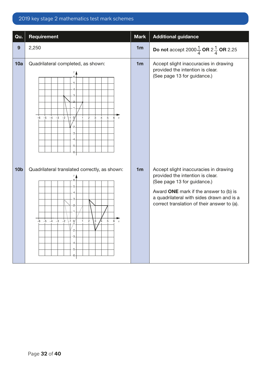| Qu.             | <b>Requirement</b>                                                                                                                                                                                                    | <b>Mark</b>    | <b>Additional guidance</b>                                                                                                                                                                                                                     |
|-----------------|-----------------------------------------------------------------------------------------------------------------------------------------------------------------------------------------------------------------------|----------------|------------------------------------------------------------------------------------------------------------------------------------------------------------------------------------------------------------------------------------------------|
| 9               | 2,250                                                                                                                                                                                                                 | 1 <sub>m</sub> | <b>Do not</b> accept 2000 $\frac{1}{4}$ <b>OR</b> 2 $\frac{1}{4}$ <b>OR</b> 2.25                                                                                                                                                               |
| 10a             | Quadrilateral completed, as shown:<br>5<br>$\begin{array}{ccccccccc}\n-6 & -5 & -4 & -3 & -2\n\end{array}$<br>$\overline{5}$<br>$\overline{2}$<br>$\overline{3}$<br>$\mathbf{0}$<br>$\overline{4}$<br>6x<br>$-1$<br>5 | 1 <sub>m</sub> | Accept slight inaccuracies in drawing<br>provided the intention is clear.<br>(See page 13 for guidance.)                                                                                                                                       |
| 10 <sub>b</sub> | Quadrilateral translated correctly, as shown:<br>6<br>5<br>3<br>$-6$ $-5$ $-4$ $-3$ $-2$<br>$\overline{3}$<br>$-1$ 0<br>$\overline{2}$<br>5<br>6x                                                                     | 1 <sub>m</sub> | Accept slight inaccuracies in drawing<br>provided the intention is clear.<br>(See page 13 for guidance.)<br>Award ONE mark if the answer to (b) is<br>a quadrilateral with sides drawn and is a<br>correct translation of their answer to (a). |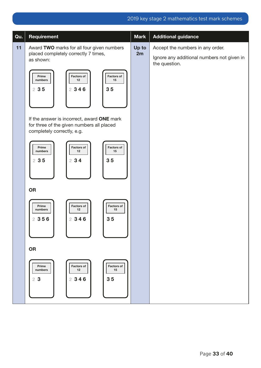| Qu. | Requirement                                                                                                           | <b>Mark</b> | <b>Additional guidance</b>                                                                      |
|-----|-----------------------------------------------------------------------------------------------------------------------|-------------|-------------------------------------------------------------------------------------------------|
| 11  | Award TWO marks for all four given numbers<br>placed completely correctly 7 times,<br>as shown:                       | Up to<br>2m | Accept the numbers in any order.<br>Ignore any additional numbers not given in<br>the question. |
|     | <b>Factors of</b><br>Prime<br><b>Factors of</b><br>numbers<br>12<br>15<br>2346<br>35<br>235                           |             |                                                                                                 |
|     | If the answer is incorrect, award ONE mark<br>for three of the given numbers all placed<br>completely correctly, e.g. |             |                                                                                                 |
|     | Factors of<br>Factors of<br>Prime<br>numbers<br>15<br>12<br>234<br>35<br>235                                          |             |                                                                                                 |
|     | <b>OR</b>                                                                                                             |             |                                                                                                 |
|     | Prime<br><b>Factors of</b><br><b>Factors of</b><br>numbers<br>12<br>15<br>2346<br>35<br>2 3 5 6                       |             |                                                                                                 |
|     | <b>OR</b>                                                                                                             |             |                                                                                                 |
|     | Prime<br><b>Factors of</b><br><b>Factors of</b><br>15<br>numbers<br>12<br>2346<br>35<br>23                            |             |                                                                                                 |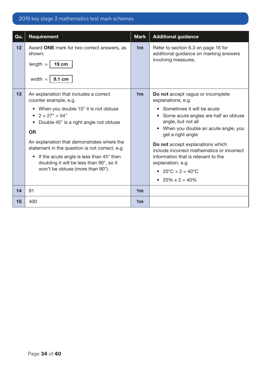| Qu. | Requirement                                                                                                                                                                                                                                                                                                                                                                                                                                       | <b>Mark</b>    | <b>Additional guidance</b>                                                                                                                                                                                                                                                                                                                                                                                                          |
|-----|---------------------------------------------------------------------------------------------------------------------------------------------------------------------------------------------------------------------------------------------------------------------------------------------------------------------------------------------------------------------------------------------------------------------------------------------------|----------------|-------------------------------------------------------------------------------------------------------------------------------------------------------------------------------------------------------------------------------------------------------------------------------------------------------------------------------------------------------------------------------------------------------------------------------------|
| 12  | Award ONE mark for two correct answers, as<br>shown:<br>$length =$<br><b>19 cm</b><br>width $=$<br>9.1 cm                                                                                                                                                                                                                                                                                                                                         | 1 <sub>m</sub> | Refer to section 6.3 on page 16 for<br>additional guidance on marking answers<br>involving measures.                                                                                                                                                                                                                                                                                                                                |
| 13  | An explanation that includes a correct<br>counter example, e.g.<br>When you double 10° it is not obtuse<br>• $2 \times 27^{\circ} = 54^{\circ}$<br>• Double 45° is a right angle not obtuse<br><b>OR</b><br>An explanation that demonstrates where the<br>statement in the question is not correct, e.g.<br>If the acute angle is less than 45° then<br>$\bullet$<br>doubling it will be less than 90°, so it<br>won't be obtuse (more than 90°). | 1 <sub>m</sub> | Do not accept vague or incomplete<br>explanations, e.g.<br>Sometimes it will be acute<br>Some acute angles are half an obtuse<br>angle, but not all<br>When you double an acute angle, you<br>get a right angle<br>Do not accept explanations which<br>include incorrect mathematics or incorrect<br>information that is relevant to the<br>explanation, e.g.<br>• $20^{\circ}C \times 2 = 40^{\circ}C$<br>• $20\% \times 2 = 40\%$ |
| 14  | 91                                                                                                                                                                                                                                                                                                                                                                                                                                                | 1 <sub>m</sub> |                                                                                                                                                                                                                                                                                                                                                                                                                                     |
| 15  | 400                                                                                                                                                                                                                                                                                                                                                                                                                                               | 1 <sub>m</sub> |                                                                                                                                                                                                                                                                                                                                                                                                                                     |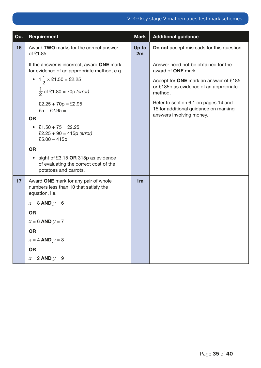| Qu. | Requirement                                                                                                         | <b>Mark</b>    | <b>Additional guidance</b>                                                                                |
|-----|---------------------------------------------------------------------------------------------------------------------|----------------|-----------------------------------------------------------------------------------------------------------|
| 16  | Award TWO marks for the correct answer<br>of £1.85                                                                  | Up to<br>2m    | Do not accept misreads for this question.                                                                 |
|     | If the answer is incorrect, award ONE mark<br>for evidence of an appropriate method, e.g.                           |                | Answer need not be obtained for the<br>award of ONE mark.                                                 |
|     | • $1\frac{1}{2} \times$ £1.50 = £2.25<br>$\frac{1}{2}$ of £1.80 = 70p (error)                                       |                | Accept for ONE mark an answer of £185<br>or £185p as evidence of an appropriate<br>method.                |
|     | $£2.25 + 70p = £2.95$<br>$£5 - £2.95 =$                                                                             |                | Refer to section 6.1 on pages 14 and<br>15 for additional guidance on marking<br>answers involving money. |
|     | <b>OR</b><br>$£1.50 + 75 = £2.25$<br>$\bullet$<br>$£2.25 + 90 = 415p$ (error)<br>£5.00 $-415p =$                    |                |                                                                                                           |
|     | <b>OR</b>                                                                                                           |                |                                                                                                           |
|     | sight of £3.15 $OR$ 315p as evidence<br>$\bullet$<br>of evaluating the correct cost of the<br>potatoes and carrots. |                |                                                                                                           |
| 17  | Award ONE mark for any pair of whole<br>numbers less than 10 that satisfy the<br>equation, i.e.                     | 1 <sub>m</sub> |                                                                                                           |
|     | $x = 8$ AND $y = 6$                                                                                                 |                |                                                                                                           |
|     | <b>OR</b>                                                                                                           |                |                                                                                                           |
|     | $x = 6$ AND $y = 7$                                                                                                 |                |                                                                                                           |
|     | <b>OR</b>                                                                                                           |                |                                                                                                           |
|     | $x = 4$ AND $y = 8$                                                                                                 |                |                                                                                                           |
|     | <b>OR</b>                                                                                                           |                |                                                                                                           |
|     | $x = 2$ AND $y = 9$                                                                                                 |                |                                                                                                           |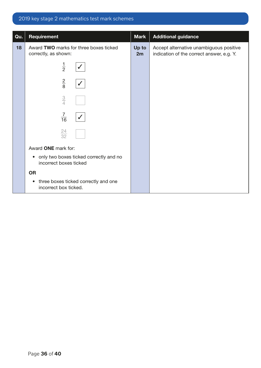| Qu. | Requirement                                                                | <b>Mark</b> | <b>Additional guidance</b>                                                           |
|-----|----------------------------------------------------------------------------|-------------|--------------------------------------------------------------------------------------|
| 18  | Award TWO marks for three boxes ticked<br>correctly, as shown:             | Up to<br>2m | Accept alternative unambiguous positive<br>indication of the correct answer, e.g. Y. |
|     | $\frac{1}{2}$                                                              |             |                                                                                      |
|     | $\frac{2}{8}$                                                              |             |                                                                                      |
|     | $\frac{3}{4}$                                                              |             |                                                                                      |
|     | $\frac{7}{16}$                                                             |             |                                                                                      |
|     | $\frac{24}{32}$                                                            |             |                                                                                      |
|     | Award ONE mark for:                                                        |             |                                                                                      |
|     | • only two boxes ticked correctly and no<br>incorrect boxes ticked         |             |                                                                                      |
|     | <b>OR</b>                                                                  |             |                                                                                      |
|     | three boxes ticked correctly and one<br>$\bullet$<br>incorrect box ticked. |             |                                                                                      |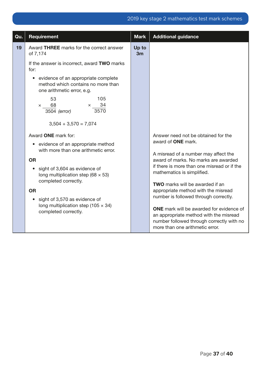| Qu. | Requirement                                                                                                                                                                                                                                                                                                                                                                                                                                                                                                                                                                                                                                                                                              | <b>Mark</b> | <b>Additional guidance</b>                                                                                                                                                                                                                                                                                                                                                                                                                                                                        |
|-----|----------------------------------------------------------------------------------------------------------------------------------------------------------------------------------------------------------------------------------------------------------------------------------------------------------------------------------------------------------------------------------------------------------------------------------------------------------------------------------------------------------------------------------------------------------------------------------------------------------------------------------------------------------------------------------------------------------|-------------|---------------------------------------------------------------------------------------------------------------------------------------------------------------------------------------------------------------------------------------------------------------------------------------------------------------------------------------------------------------------------------------------------------------------------------------------------------------------------------------------------|
| 19  | Award THREE marks for the correct answer<br>of 7,174<br>If the answer is incorrect, award TWO marks<br>for:<br>evidence of an appropriate complete<br>$\bullet$<br>method which contains no more than<br>one arithmetic error, e.g.<br>105<br>53<br>$\times$ 34<br>$\times$ 68<br>3570<br>3504 (error)<br>$3,504 + 3,570 = 7,074$<br>Award ONE mark for:<br>• evidence of an appropriate method<br>with more than one arithmetic error.<br><b>OR</b><br>sight of 3,604 as evidence of<br>$\bullet$<br>long multiplication step (68 $\times$ 53)<br>completed correctly.<br><b>OR</b><br>sight of 3,570 as evidence of<br>$\bullet$<br>long multiplication step (105 $\times$ 34)<br>completed correctly. | Up to<br>3m | Answer need not be obtained for the<br>award of <b>ONE</b> mark.<br>A misread of a number may affect the<br>award of marks. No marks are awarded<br>if there is more than one misread or if the<br>mathematics is simplified.<br><b>TWO</b> marks will be awarded if an<br>appropriate method with the misread<br>number is followed through correctly.<br><b>ONE</b> mark will be awarded for evidence of<br>an appropriate method with the misread<br>number followed through correctly with no |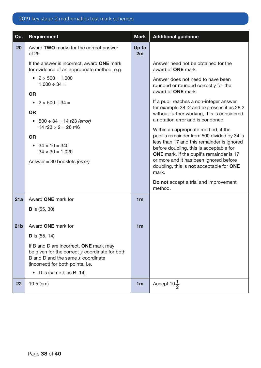| Qu.             | Requirement                                                                                                                                                                   | <b>Mark</b>    | <b>Additional guidance</b>                                                                |
|-----------------|-------------------------------------------------------------------------------------------------------------------------------------------------------------------------------|----------------|-------------------------------------------------------------------------------------------|
| 20              | Award TWO marks for the correct answer<br>of 29                                                                                                                               | Up to<br>2m    |                                                                                           |
|                 | If the answer is incorrect, award ONE mark<br>for evidence of an appropriate method, e.g.                                                                                     |                | Answer need not be obtained for the<br>award of <b>ONE</b> mark.                          |
|                 | $2 \times 500 = 1,000$<br>$\bullet$<br>$1,000 \div 34 =$                                                                                                                      |                | Answer does not need to have been<br>rounded or rounded correctly for the                 |
|                 | <b>OR</b>                                                                                                                                                                     |                | award of <b>ONE</b> mark.                                                                 |
|                 | • $2 \times 500 \div 34 =$                                                                                                                                                    |                | If a pupil reaches a non-integer answer,<br>for example 28 r2 and expresses it as 28.2    |
|                 | <b>OR</b>                                                                                                                                                                     |                | without further working, this is considered<br>a notation error and is condoned.          |
|                 | • $500 \div 34 = 14$ r23 (error)<br>14 r23 $\times$ 2 = 28 r46                                                                                                                |                | Within an appropriate method, if the                                                      |
|                 | <b>OR</b>                                                                                                                                                                     |                | pupil's remainder from 500 divided by 34 is                                               |
|                 | $34 \times 10 = 340$                                                                                                                                                          |                | less than 17 and this remainder is ignored<br>before doubling, this is acceptable for     |
|                 | $34 \times 30 = 1,020$                                                                                                                                                        |                | <b>ONE</b> mark. If the pupil's remainder is 17<br>or more and it has been ignored before |
|                 | Answer = $30$ booklets (error)                                                                                                                                                |                | doubling, this is not acceptable for ONE<br>mark.                                         |
|                 |                                                                                                                                                                               |                | Do not accept a trial and improvement<br>method.                                          |
| 21a             | Award ONE mark for                                                                                                                                                            | 1 <sub>m</sub> |                                                                                           |
|                 | <b>B</b> is $(55, 30)$                                                                                                                                                        |                |                                                                                           |
|                 |                                                                                                                                                                               |                |                                                                                           |
| 21 <sub>b</sub> | Award ONE mark for                                                                                                                                                            | າm             |                                                                                           |
|                 | <b>D</b> is $(55, 14)$                                                                                                                                                        |                |                                                                                           |
|                 | If B and D are incorrect, <b>ONE</b> mark may<br>be given for the correct $y$ coordinate for both<br>B and D and the same $x$ coordinate<br>(incorrect) for both points, i.e. |                |                                                                                           |
|                 | D is (same $x$ as B, 14)<br>$\bullet$                                                                                                                                         |                |                                                                                           |
| 22              | $10.5$ (cm)                                                                                                                                                                   | 1 <sub>m</sub> | Accept $10\frac{1}{2}$                                                                    |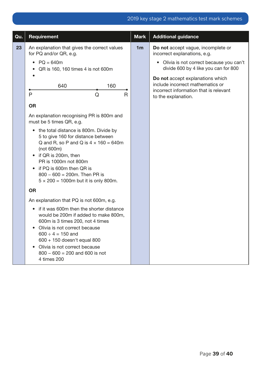| Qu. | Requirement                                                                                                                                                                                                                                                                                                           | <b>Mark</b>    | <b>Additional guidance</b>                                                                                                            |
|-----|-----------------------------------------------------------------------------------------------------------------------------------------------------------------------------------------------------------------------------------------------------------------------------------------------------------------------|----------------|---------------------------------------------------------------------------------------------------------------------------------------|
| 23  | An explanation that gives the correct values<br>for PQ and/or QR, e.g.                                                                                                                                                                                                                                                | 1 <sub>m</sub> | Do not accept vague, incomplete or<br>incorrect explanations, e.g.                                                                    |
|     | $PQ = 640m$<br>$\bullet$<br>QR is 160, 160 times 4 is not 600m                                                                                                                                                                                                                                                        |                | • Olivia is not correct because you can't<br>divide 600 by 4 like you can for 800                                                     |
|     | 160<br>640<br>P<br>R<br>Q                                                                                                                                                                                                                                                                                             |                | Do not accept explanations which<br>include incorrect mathematics or<br>incorrect information that is relevant<br>to the explanation. |
|     | <b>OR</b>                                                                                                                                                                                                                                                                                                             |                |                                                                                                                                       |
|     | An explanation recognising PR is 800m and<br>must be 5 times QR, e.g.                                                                                                                                                                                                                                                 |                |                                                                                                                                       |
|     | the total distance is 800m. Divide by<br>$\bullet$<br>5 to give 160 for distance between<br>Q and R, so P and Q is $4 \times 160 = 640$ m<br>(not 600m)<br>if QR is 200m, then<br>PR is 1000m not 800m<br>if PQ is 600m then QR is<br>$800 - 600 = 200$ m. Then PR is<br>$5 \times 200 = 1000$ m but it is only 800m. |                |                                                                                                                                       |
|     | <b>OR</b>                                                                                                                                                                                                                                                                                                             |                |                                                                                                                                       |
|     | An explanation that PQ is not 600m, e.g.                                                                                                                                                                                                                                                                              |                |                                                                                                                                       |
|     | if it was 600m then the shorter distance<br>$\bullet$<br>would be 200m if added to make 800m,<br>600m is 3 times 200, not 4 times<br>Olivia is not correct because<br>$600 \div 4 = 150$ and<br>600 + 150 doesn't equal 800<br>Olivia is not correct because<br>$800 - 600 = 200$ and 600 is not<br>4 times 200       |                |                                                                                                                                       |